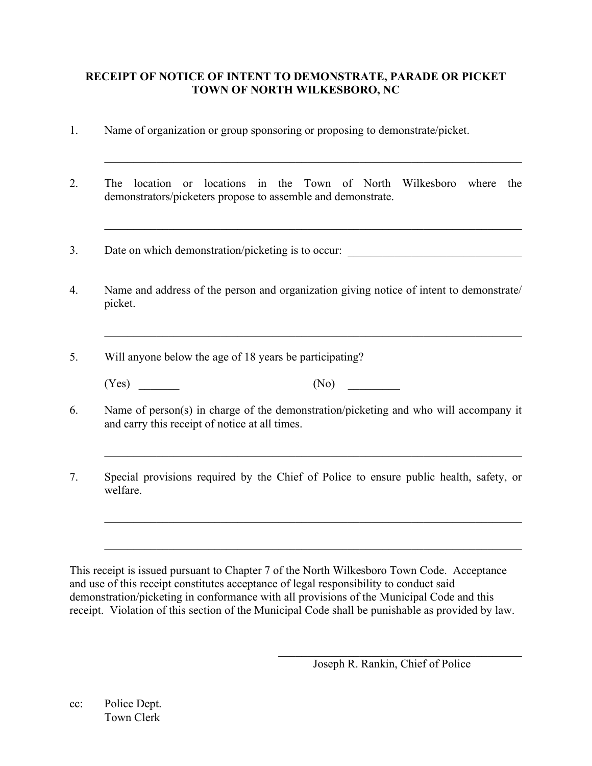# **RECEIPT OF NOTICE OF INTENT TO DEMONSTRATE, PARADE OR PICKET TOWN OF NORTH WILKESBORO, NC**

- 1. Name of organization or group sponsoring or proposing to demonstrate/picket.
- 2. The location or locations in the Town of North Wilkesboro where the demonstrators/picketers propose to assemble and demonstrate.

 $\_$  , and the contribution of the contribution of  $\mathcal{L}_\mathcal{A}$  , and the contribution of  $\mathcal{L}_\mathcal{A}$ 

 $\_$  , and the contribution of the contribution of  $\mathcal{L}_\mathcal{A}$  , and the contribution of  $\mathcal{L}_\mathcal{A}$ 

 $\_$  , and the contribution of the contribution of the contribution of the contribution of  $\mathcal{L}_\text{max}$ 

- 3. Date on which demonstration/picketing is to occur:
- 4. Name and address of the person and organization giving notice of intent to demonstrate/ picket.
- 5. Will anyone below the age of 18 years be participating?
	- $(Yes)$   $(No)$

6. Name of person(s) in charge of the demonstration/picketing and who will accompany it and carry this receipt of notice at all times.

 $\_$  , and the set of the set of the set of the set of the set of the set of the set of the set of the set of the set of the set of the set of the set of the set of the set of the set of the set of the set of the set of th

 $\_$  , and the set of the set of the set of the set of the set of the set of the set of the set of the set of the set of the set of the set of the set of the set of the set of the set of the set of the set of the set of th

 $\_$  , and the set of the set of the set of the set of the set of the set of the set of the set of the set of the set of the set of the set of the set of the set of the set of the set of the set of the set of the set of th

7. Special provisions required by the Chief of Police to ensure public health, safety, or welfare.

This receipt is issued pursuant to Chapter 7 of the North Wilkesboro Town Code. Acceptance and use of this receipt constitutes acceptance of legal responsibility to conduct said demonstration/picketing in conformance with all provisions of the Municipal Code and this receipt. Violation of this section of the Municipal Code shall be punishable as provided by law.

 $\mathcal{L}_\mathcal{L}$  , which is a set of the set of the set of the set of the set of the set of the set of the set of the set of the set of the set of the set of the set of the set of the set of the set of the set of the set of

cc: Police Dept. Town Clerk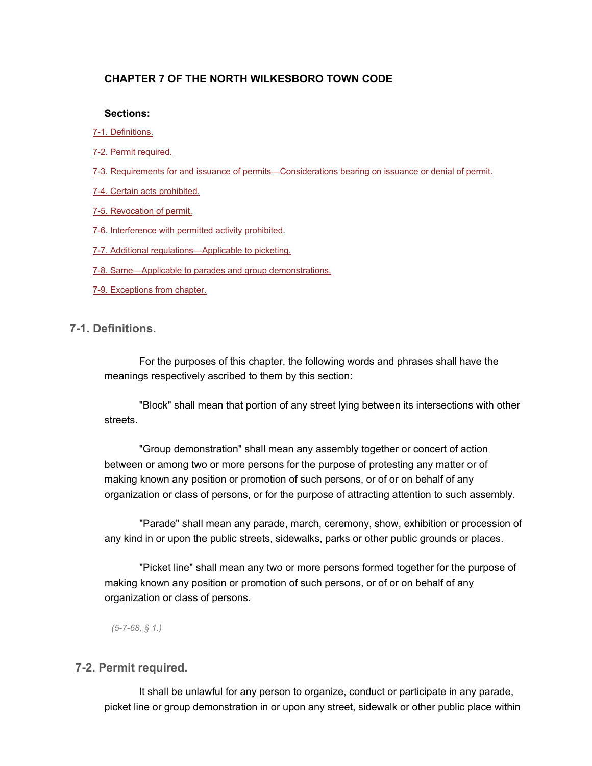### **CHAPTER 7 OF THE NORTH WILKESBORO TOWN CODE**

#### **Sections:**

- [7-1. Definitions.](https://library.municode.com/HTML/16531/level2/CD_CH7DEPAPI.html#CD_CH7DEPAPI_7-1DE)
- [7-2. Permit required.](https://library.municode.com/HTML/16531/level2/CD_CH7DEPAPI.html#CD_CH7DEPAPI_7-2PERE)
- [7-3. Requirements for and issuance of permits—Considerations bearing on issuance or denial of permit.](https://library.municode.com/HTML/16531/level2/CD_CH7DEPAPI.html#CD_CH7DEPAPI_7-3REISPEONBEISDEPE)
- [7-4. Certain acts prohibited.](https://library.municode.com/HTML/16531/level2/CD_CH7DEPAPI.html#CD_CH7DEPAPI_7-4CEACPR)
- [7-5. Revocation of permit.](https://library.municode.com/HTML/16531/level2/CD_CH7DEPAPI.html#CD_CH7DEPAPI_7-5REPE)
- [7-6. Interference with permitted activity prohibited.](https://library.municode.com/HTML/16531/level2/CD_CH7DEPAPI.html#CD_CH7DEPAPI_7-6INPEACPR)
- [7-7. Additional regulations—Applicable to picketing.](https://library.municode.com/HTML/16531/level2/CD_CH7DEPAPI.html#CD_CH7DEPAPI_7-7ADREPPPI)
- [7-8. Same—Applicable to parades and group demonstrations.](https://library.municode.com/HTML/16531/level2/CD_CH7DEPAPI.html#CD_CH7DEPAPI_7-8SAPPPAGRDE)
- [7-9. Exceptions from chapter.](https://library.municode.com/HTML/16531/level2/CD_CH7DEPAPI.html#CD_CH7DEPAPI_7-9EXCH)

#### **7-1. Definitions.**

For the purposes of this chapter, the following words and phrases shall have the meanings respectively ascribed to them by this section:

"Block" shall mean that portion of any street lying between its intersections with other streets.

"Group demonstration" shall mean any assembly together or concert of action between or among two or more persons for the purpose of protesting any matter or of making known any position or promotion of such persons, or of or on behalf of any organization or class of persons, or for the purpose of attracting attention to such assembly.

"Parade" shall mean any parade, march, ceremony, show, exhibition or procession of any kind in or upon the public streets, sidewalks, parks or other public grounds or places.

"Picket line" shall mean any two or more persons formed together for the purpose of making known any position or promotion of such persons, or of or on behalf of any organization or class of persons.

*(5-7-68, § 1.)*

#### **7-2. Permit required.**

It shall be unlawful for any person to organize, conduct or participate in any parade, picket line or group demonstration in or upon any street, sidewalk or other public place within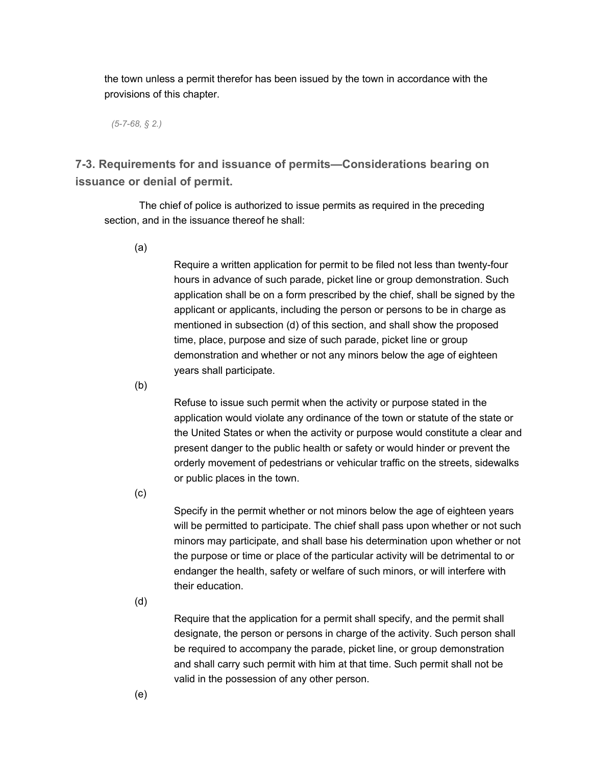the town unless a permit therefor has been issued by the town in accordance with the provisions of this chapter.

*(5-7-68, § 2.)*

**7-3. Requirements for and issuance of permits—Considerations bearing on issuance or denial of permit.**

The chief of police is authorized to issue permits as required in the preceding section, and in the issuance thereof he shall:

(a)

Require a written application for permit to be filed not less than twenty-four hours in advance of such parade, picket line or group demonstration. Such application shall be on a form prescribed by the chief, shall be signed by the applicant or applicants, including the person or persons to be in charge as mentioned in subsection (d) of this section, and shall show the proposed time, place, purpose and size of such parade, picket line or group demonstration and whether or not any minors below the age of eighteen years shall participate.

(b)

Refuse to issue such permit when the activity or purpose stated in the application would violate any ordinance of the town or statute of the state or the United States or when the activity or purpose would constitute a clear and present danger to the public health or safety or would hinder or prevent the orderly movement of pedestrians or vehicular traffic on the streets, sidewalks or public places in the town.

(c)

Specify in the permit whether or not minors below the age of eighteen years will be permitted to participate. The chief shall pass upon whether or not such minors may participate, and shall base his determination upon whether or not the purpose or time or place of the particular activity will be detrimental to or endanger the health, safety or welfare of such minors, or will interfere with their education.

(d)

Require that the application for a permit shall specify, and the permit shall designate, the person or persons in charge of the activity. Such person shall be required to accompany the parade, picket line, or group demonstration and shall carry such permit with him at that time. Such permit shall not be valid in the possession of any other person.

(e)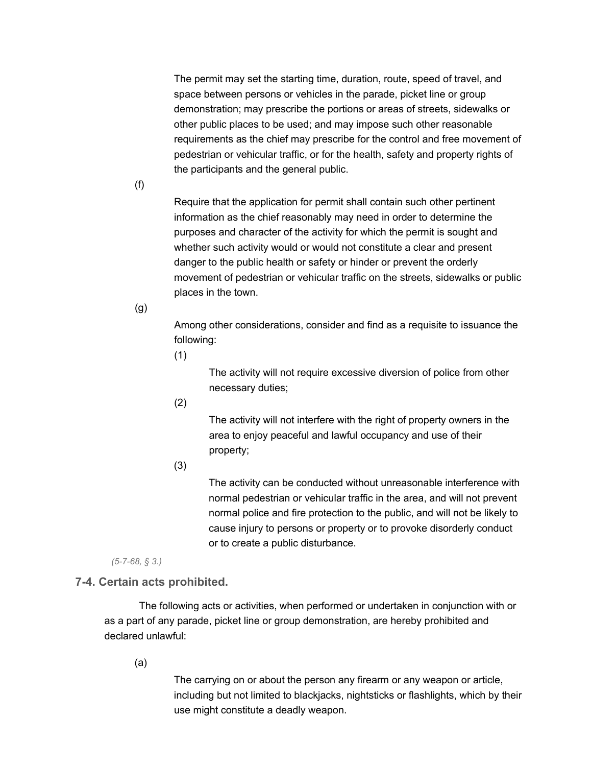The permit may set the starting time, duration, route, speed of travel, and space between persons or vehicles in the parade, picket line or group demonstration; may prescribe the portions or areas of streets, sidewalks or other public places to be used; and may impose such other reasonable requirements as the chief may prescribe for the control and free movement of pedestrian or vehicular traffic, or for the health, safety and property rights of the participants and the general public.

(f)

Require that the application for permit shall contain such other pertinent information as the chief reasonably may need in order to determine the purposes and character of the activity for which the permit is sought and whether such activity would or would not constitute a clear and present danger to the public health or safety or hinder or prevent the orderly movement of pedestrian or vehicular traffic on the streets, sidewalks or public places in the town.

(g)

Among other considerations, consider and find as a requisite to issuance the following:

(1)

The activity will not require excessive diversion of police from other necessary duties;

(2)

The activity will not interfere with the right of property owners in the area to enjoy peaceful and lawful occupancy and use of their property;

(3)

The activity can be conducted without unreasonable interference with normal pedestrian or vehicular traffic in the area, and will not prevent normal police and fire protection to the public, and will not be likely to cause injury to persons or property or to provoke disorderly conduct or to create a public disturbance.

*(5-7-68, § 3.)*

# **7-4. Certain acts prohibited.**

The following acts or activities, when performed or undertaken in conjunction with or as a part of any parade, picket line or group demonstration, are hereby prohibited and declared unlawful:

(a)

The carrying on or about the person any firearm or any weapon or article, including but not limited to blackjacks, nightsticks or flashlights, which by their use might constitute a deadly weapon.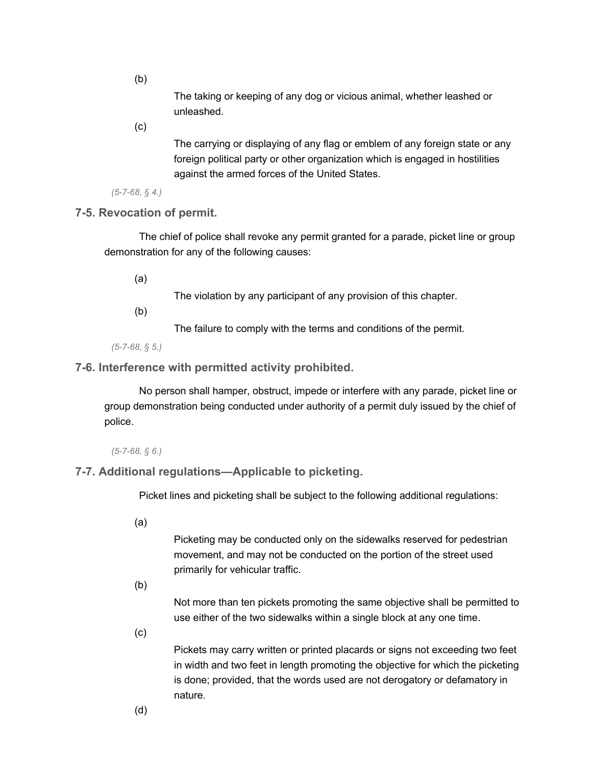(b)

The taking or keeping of any dog or vicious animal, whether leashed or unleashed.

(c)

The carrying or displaying of any flag or emblem of any foreign state or any foreign political party or other organization which is engaged in hostilities against the armed forces of the United States.

*(5-7-68, § 4.)*

**7-5. Revocation of permit.**

The chief of police shall revoke any permit granted for a parade, picket line or group demonstration for any of the following causes:

(a)

The violation by any participant of any provision of this chapter.

(b)

The failure to comply with the terms and conditions of the permit.

*(5-7-68, § 5.)*

### **7-6. Interference with permitted activity prohibited.**

No person shall hamper, obstruct, impede or interfere with any parade, picket line or group demonstration being conducted under authority of a permit duly issued by the chief of police.

### *(5-7-68, § 6.)*

# **7-7. Additional regulations—Applicable to picketing.**

Picket lines and picketing shall be subject to the following additional regulations:

(a)

Picketing may be conducted only on the sidewalks reserved for pedestrian movement, and may not be conducted on the portion of the street used primarily for vehicular traffic.

(b)

Not more than ten pickets promoting the same objective shall be permitted to use either of the two sidewalks within a single block at any one time.

(c)

Pickets may carry written or printed placards or signs not exceeding two feet in width and two feet in length promoting the objective for which the picketing is done; provided, that the words used are not derogatory or defamatory in nature.

(d)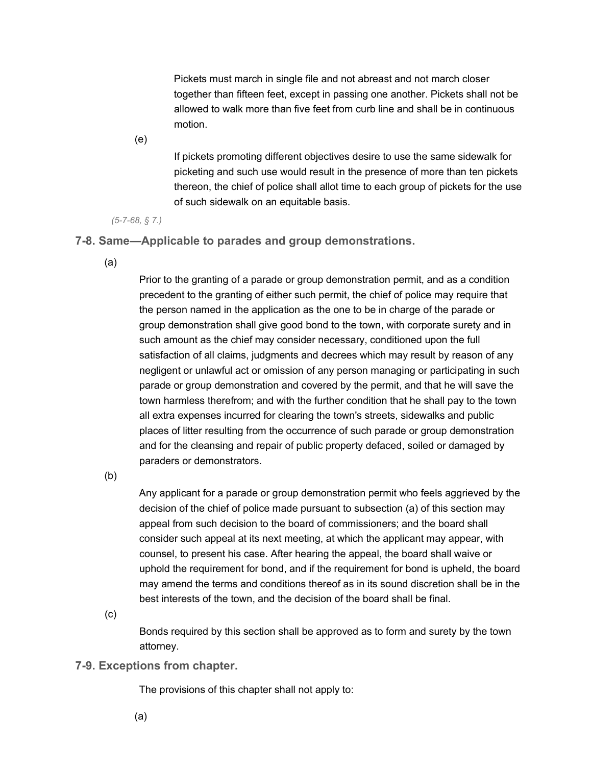Pickets must march in single file and not abreast and not march closer together than fifteen feet, except in passing one another. Pickets shall not be allowed to walk more than five feet from curb line and shall be in continuous motion.

(e)

If pickets promoting different objectives desire to use the same sidewalk for picketing and such use would result in the presence of more than ten pickets thereon, the chief of police shall allot time to each group of pickets for the use of such sidewalk on an equitable basis.

*(5-7-68, § 7.)*

**7-8. Same—Applicable to parades and group demonstrations.**

(a)

Prior to the granting of a parade or group demonstration permit, and as a condition precedent to the granting of either such permit, the chief of police may require that the person named in the application as the one to be in charge of the parade or group demonstration shall give good bond to the town, with corporate surety and in such amount as the chief may consider necessary, conditioned upon the full satisfaction of all claims, judgments and decrees which may result by reason of any negligent or unlawful act or omission of any person managing or participating in such parade or group demonstration and covered by the permit, and that he will save the town harmless therefrom; and with the further condition that he shall pay to the town all extra expenses incurred for clearing the town's streets, sidewalks and public places of litter resulting from the occurrence of such parade or group demonstration and for the cleansing and repair of public property defaced, soiled or damaged by paraders or demonstrators.

(b)

Any applicant for a parade or group demonstration permit who feels aggrieved by the decision of the chief of police made pursuant to subsection (a) of this section may appeal from such decision to the board of commissioners; and the board shall consider such appeal at its next meeting, at which the applicant may appear, with counsel, to present his case. After hearing the appeal, the board shall waive or uphold the requirement for bond, and if the requirement for bond is upheld, the board may amend the terms and conditions thereof as in its sound discretion shall be in the best interests of the town, and the decision of the board shall be final.

(c)

Bonds required by this section shall be approved as to form and surety by the town attorney.

# **7-9. Exceptions from chapter.**

The provisions of this chapter shall not apply to:

(a)